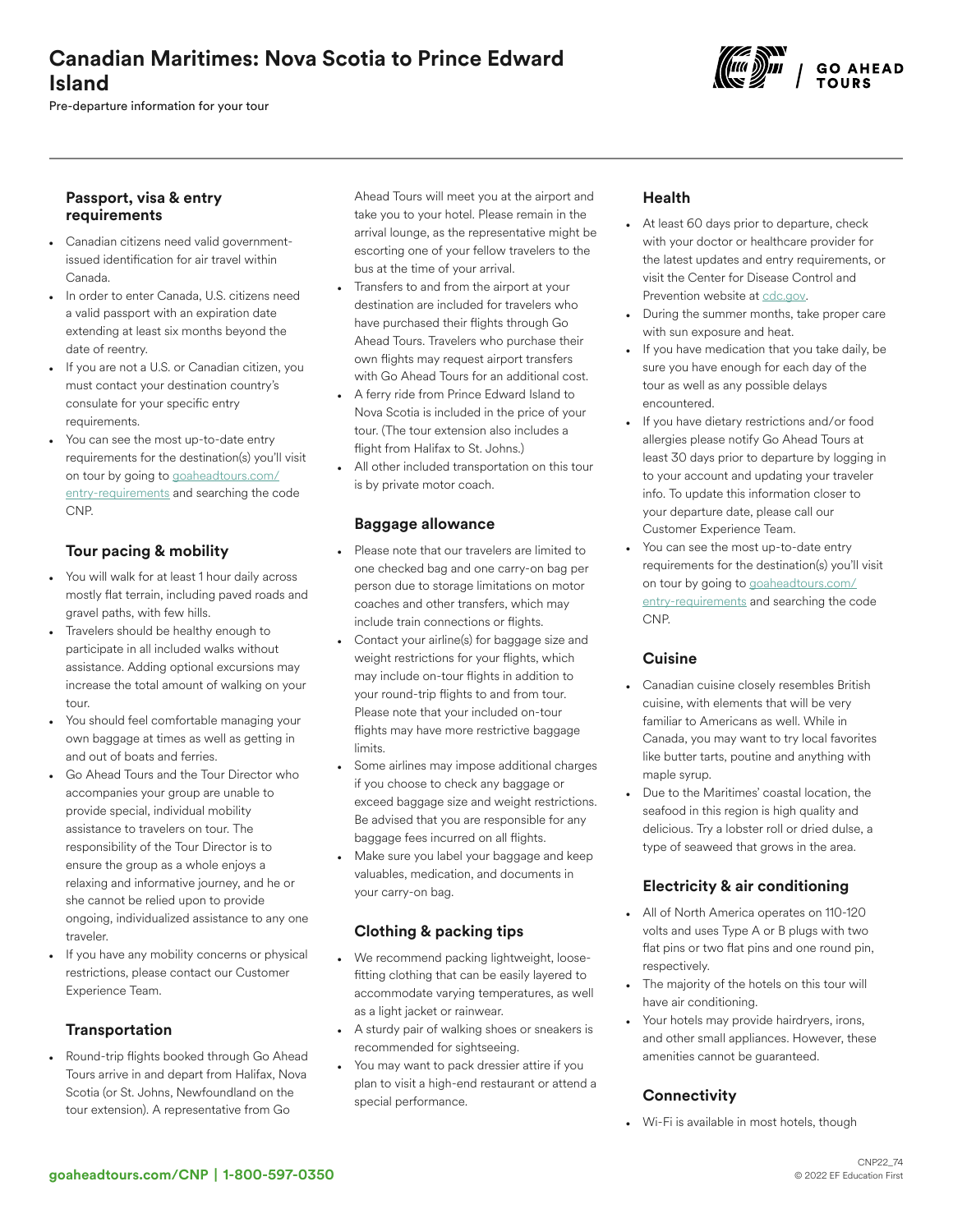# Canadian Maritimes: Nova Scotia to Prince Edward Island

Pre-departure information for your tour



#### Passport, visa & entry requirements

- Canadian citizens need valid governmentissued identification for air travel within Canada.
- In order to enter Canada, U.S. citizens need a valid passport with an expiration date extending at least six months beyond the date of reentry.
- If you are not a U.S. or Canadian citizen, you must contact your destination country's consulate for your specific entry requirements.
- You can see the most up-to-date entry requirements for the destination(s) you'll visit on tour by going to [goaheadtours.com/](/entry-requirements?tourCode=CNP) [entry-requirements](/entry-requirements?tourCode=CNP) and searching the code CNP.

## Tour pacing & mobility

- You will walk for at least 1 hour daily across mostly flat terrain, including paved roads and gravel paths, with few hills.
- Travelers should be healthy enough to participate in all included walks without assistance. Adding optional excursions may increase the total amount of walking on your tour.
- You should feel comfortable managing your own baggage at times as well as getting in and out of boats and ferries.
- Go Ahead Tours and the Tour Director who accompanies your group are unable to provide special, individual mobility assistance to travelers on tour. The responsibility of the Tour Director is to ensure the group as a whole enjoys a relaxing and informative journey, and he or she cannot be relied upon to provide ongoing, individualized assistance to any one traveler.
- If you have any mobility concerns or physical restrictions, please contact our Customer Experience Team.

#### **Transportation**

• Round-trip flights booked through Go Ahead Tours arrive in and depart from Halifax, Nova Scotia (or St. Johns, Newfoundland on the tour extension). A representative from Go

Ahead Tours will meet you at the airport and take you to your hotel. Please remain in the arrival lounge, as the representative might be escorting one of your fellow travelers to the bus at the time of your arrival.

- Transfers to and from the airport at your destination are included for travelers who have purchased their flights through Go Ahead Tours. Travelers who purchase their own flights may request airport transfers with Go Ahead Tours for an additional cost.
- A ferry ride from Prince Edward Island to Nova Scotia is included in the price of your tour. (The tour extension also includes a flight from Halifax to St. Johns.)
- All other included transportation on this tour is by private motor coach.

#### Baggage allowance

- Please note that our travelers are limited to one checked bag and one carry-on bag per person due to storage limitations on motor coaches and other transfers, which may include train connections or flights.
- Contact your airline(s) for baggage size and weight restrictions for your flights, which may include on-tour flights in addition to your round-trip flights to and from tour. Please note that your included on-tour flights may have more restrictive baggage limits.
- Some airlines may impose additional charges if you choose to check any baggage or exceed baggage size and weight restrictions. Be advised that you are responsible for any baggage fees incurred on all flights.
- Make sure you label your baggage and keep valuables, medication, and documents in your carry-on bag.

## Clothing & packing tips

- We recommend packing lightweight, loosefitting clothing that can be easily layered to accommodate varying temperatures, as well as a light jacket or rainwear.
- A sturdy pair of walking shoes or sneakers is recommended for sightseeing.
- You may want to pack dressier attire if you plan to visit a high-end restaurant or attend a special performance.

## Health

- At least 60 days prior to departure, check with your doctor or healthcare provider for the latest updates and entry requirements, or visit the Center for Disease Control and Prevention website at [cdc.gov.](https://www.cdc.gov/)
- During the summer months, take proper care with sun exposure and heat.
- If you have medication that you take daily, be sure you have enough for each day of the tour as well as any possible delays encountered.
- If you have dietary restrictions and/or food allergies please notify Go Ahead Tours at least 30 days prior to departure by logging in to your account and updating your traveler info. To update this information closer to your departure date, please call our Customer Experience Team.
- You can see the most up-to-date entry requirements for the destination(s) you'll visit on tour by going to [goaheadtours.com/](/entry-requirements?tourCode=CNP) [entry-requirements](/entry-requirements?tourCode=CNP) and searching the code CNP.

#### Cuisine

- Canadian cuisine closely resembles British cuisine, with elements that will be very familiar to Americans as well. While in Canada, you may want to try local favorites like butter tarts, poutine and anything with maple syrup.
- Due to the Maritimes' coastal location, the seafood in this region is high quality and delicious. Try a lobster roll or dried dulse, a type of seaweed that grows in the area.

## Electricity & air conditioning

- All of North America operates on 110-120 volts and uses Type A or B plugs with two flat pins or two flat pins and one round pin, respectively.
- The majority of the hotels on this tour will have air conditioning.
- Your hotels may provide hairdryers, irons, and other small appliances. However, these amenities cannot be guaranteed.

## **Connectivity**

• Wi-Fi is available in most hotels, though